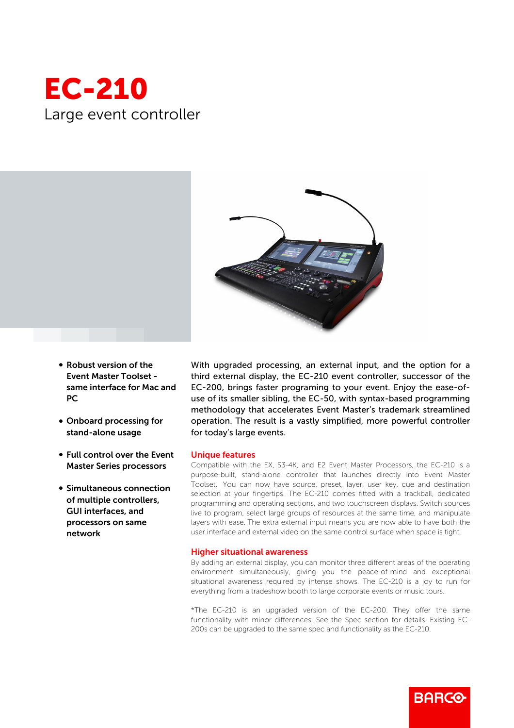



- Robust version of the Event Master Toolset same interface for Mac and PC
- Onboard processing for stand-alone usage
- Full control over the Event Master Series processors
- Simultaneous connection of multiple controllers, GUI interfaces, and processors on same network

With upgraded processing, an external input, and the option for a third external display, the EC-210 event controller, successor of the EC-200, brings faster programing to your event. Enjoy the ease-ofuse of its smaller sibling, the EC-50, with syntax-based programming methodology that accelerates Event Master's trademark streamlined operation. The result is a vastly simplified, more powerful controller for today's large events.

## Unique features

Compatible with the EX, S3-4K, and E2 Event Master Processors, the EC-210 is a purpose-built, stand-alone controller that launches directly into Event Master Toolset. You can now have source, preset, layer, user key, cue and destination selection at your fingertips. The EC-210 comes fitted with a trackball, dedicated programming and operating sections, and two touchscreen displays. Switch sources live to program, select large groups of resources at the same time, and manipulate layers with ease. The extra external input means you are now able to have both the user interface and external video on the same control surface when space is tight.

## Higher situational awareness

By adding an external display, you can monitor three different areas of the operating environment simultaneously, giving you the peace-of-mind and exceptional situational awareness required by intense shows. The EC-210 is a joy to run for everything from a tradeshow booth to large corporate events or music tours.

\*The EC-210 is an upgraded version of the EC-200. They offer the same functionality with minor differences. See the Spec section for details. Existing EC-200s can be upgraded to the same spec and functionality as the EC-210.

**BARGO**